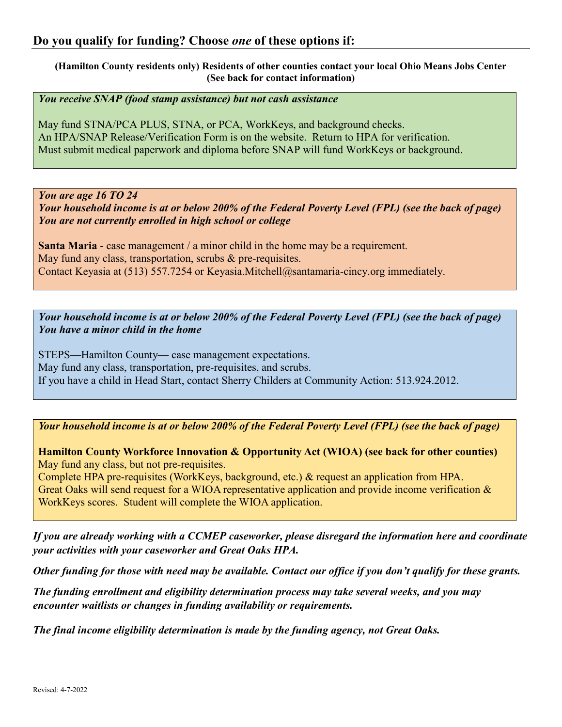**(Hamilton County residents only) Residents of other counties contact your local Ohio Means Jobs Center (See back for contact information)**

*You receive SNAP (food stamp assistance) but not cash assistance*

May fund STNA/PCA PLUS, STNA, or PCA, WorkKeys, and background checks. An HPA/SNAP Release/Verification Form is on the website. Return to HPA for verification. Must submit medical paperwork and diploma before SNAP will fund WorkKeys or background.

*You are age 16 TO 24*

*Your household income is at or below 200% of the Federal Poverty Level (FPL) (see the back of page) You are not currently enrolled in high school or college*

**Santa Maria** - case management / a minor child in the home may be a requirement. May fund any class, transportation, scrubs & pre-requisites. Contact Keyasia at (513) 557.7254 or Keyasia.Mitchell@santamaria-cincy.org immediately.

*Your household income is at or below 200% of the Federal Poverty Level (FPL) (see the back of page) You have a minor child in the home*

STEPS—Hamilton County— case management expectations. May fund any class, transportation, pre-requisites, and scrubs. If you have a child in Head Start, contact Sherry Childers at Community Action: 513.924.2012.

*Your household income is at or below 200% of the Federal Poverty Level (FPL) (see the back of page)*

**Hamilton County Workforce Innovation & Opportunity Act (WIOA) (see back for other counties)** May fund any class, but not pre-requisites.

Complete HPA pre-requisites (WorkKeys, background, etc.) & request an application from HPA. Great Oaks will send request for a WIOA representative application and provide income verification & WorkKeys scores. Student will complete the WIOA application.

*If you are already working with a CCMEP caseworker, please disregard the information here and coordinate your activities with your caseworker and Great Oaks HPA.*

*Other funding for those with need may be available. Contact our office if you don't qualify for these grants.*

*The funding enrollment and eligibility determination process may take several weeks, and you may encounter waitlists or changes in funding availability or requirements.* 

*The final income eligibility determination is made by the funding agency, not Great Oaks.*